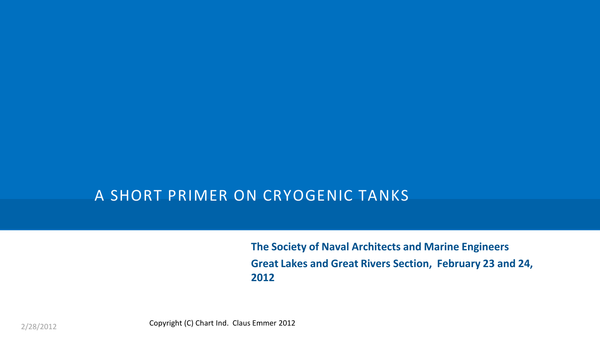### A SHORT PRIMER ON CRYOGENIC TANKS

**The Society of Naval Architects and Marine Engineers Great Lakes and Great Rivers Section, February 23 and 24, 2012**

Copyright (C) Chart Ind. Claus Emmer 2012 2/28/2012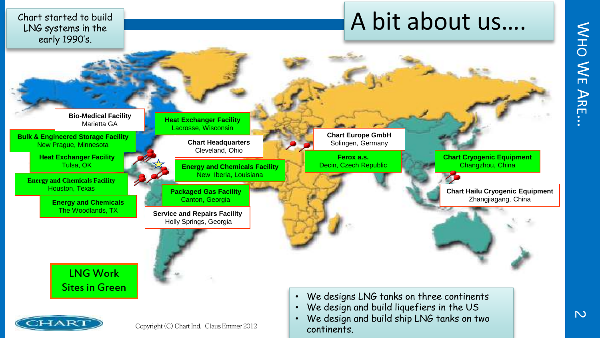$\lesssim$ エ<br>〇  $\leq$  $\overline{\Box}$  $\blacktriangleright$ 고<br>E  $\ddot{\phantom{0}}$ 

 $\overline{M}$ 

Chart started to build LNG systems in the early 1990's.

# A bit about us....



continents.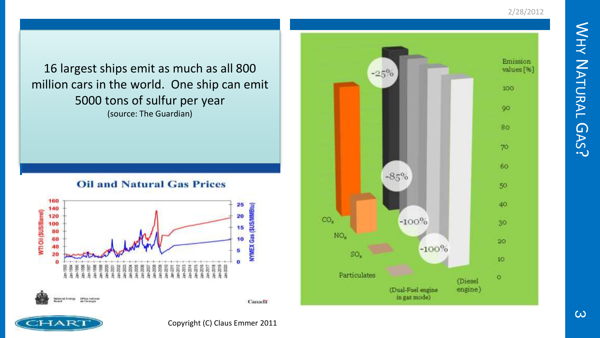$\lesssim$ 工<br>大 Z ATURAL  $\mathsf \Omega$ AS  $\ddot{\sim}$ 

2/28/2012

Emission values [%]  $-25%$ 100 90 80  $70<sub>2</sub>$ 60  $-85%$ 50 40 CO<sub>1</sub>  $-100%$ 30  $NO<sub>z</sub>$ 20  $-100%$ SO.  $10<sub>10</sub>$ Particulates  $\circ$ (Diesel (Dual-Fuel engine engine) in gas mode).

16 largest ships emit as much as all 800 million cars in the world. One ship can emit 5000 tons of sulfur per year (source: The Guardian)

#### **Oil and Natural Gas Prices**



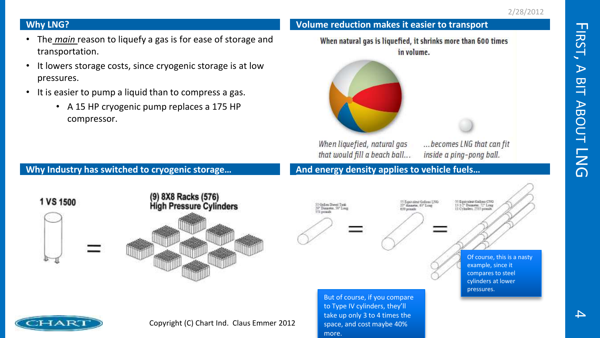### **Why LNG?**

- The *main* reason to liquefy a gas is for ease of storage and transportation.
- It lowers storage costs, since cryogenic storage is at low pressures.
- It is easier to pump a liquid than to compress a gas.
	- A 15 HP cryogenic pump replaces a 175 HP compressor.



**Volume reduction makes it easier to transport**

When liquefied, natural gas that would fill a beach ball... ...becomes LNG that can fit inside a ping-pong ball.

#### **Why Industry has switched to cryogenic storage…**



**And energy density applies to vehicle fuels…**



15 Espinoitas Galieni LNG<br>27° diameter, 63° Long 639 posado

<sup>1</sup> Equivalent Gallous CWG 13.1/2" Dismater, 72" Leng<br>11 Cylinders, 7531 ponsals

> Of course, this is a nasty example, since it compares to steel cylinders at lower pressures.



Copyright (C) Chart Ind. Claus Emmer 2012

But of course, if you compare to Type IV cylinders, they'll take up only 3 to 4 times the space, and cost maybe 40% more.

 $\blacksquare$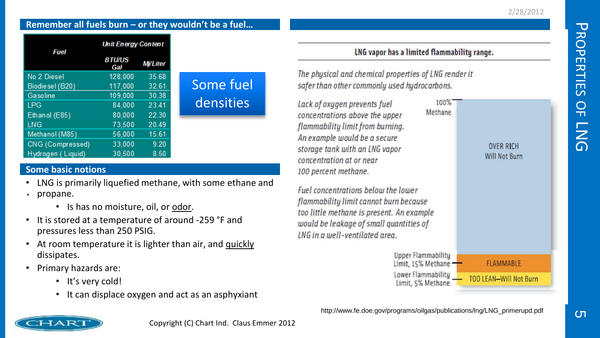#### **Remember all fuels burn – or they wouldn't be a fuel…**

| Fuel              | <b>Unit Energy Content</b> |                 |           |
|-------------------|----------------------------|-----------------|-----------|
|                   | <b>BTU/US</b><br>Gal       | <b>Mi/Liter</b> |           |
| No 2 Diesel       | 128,000                    | 35.68           |           |
| Biodie sel (B20)  | 117,000                    | 32.61           | Some fuel |
| Gasoline          | 109,000                    | 30.38           |           |
| <b>LPG</b>        | 84,000                     | 23.41           | densities |
| Ethanol (E85)     | 80.000                     | 22.30           |           |
| <b>LNG</b>        | 73,500                     | 20.49           |           |
| Methanol (M85)    | 56,000                     | 15.61           |           |
| CNG (Compressed)  | 33,000                     | 9.20            |           |
| Hydrogen (Liquid) | 30.500                     | 8.50            |           |

#### **Some basic notions**

- LNG is primarily liquefied methane, with some ethane and
- propane. .<br>.
	- Is has no moisture, oil, or odor.
- It is stored at a temperature of around -259 °F and pressures less than 250 PSIG.
- At room temperature it is lighter than air, and quickly dissipates.
- Primary hazards are:
	- It's very cold!
	- It can displace oxygen and act as an asphyxiant

#### LNG vapor has a limited flammability range.

The physical and chemical properties of LNG render it safer than other commonly used hydrocarbons.

100% Lack of oxygen prevents fuel Methane concentrations above the upper flammability limit from burning. An example would be a secure **OVER RICH** storage tank with an LNG vapor Will Not Burn concentration at or near 100 percent methane. Fuel concentrations below the lower flammability limit cannot burn because too little methane is present. An example would be leakage of small quantities of **ING** in a well-ventilated area. Upper Flammabilitu **FLAMMABLE** 

Limit, 15% Methane -Lower Flammability Limit, 5% Methane

**TOO LEAN-Will Not Burn**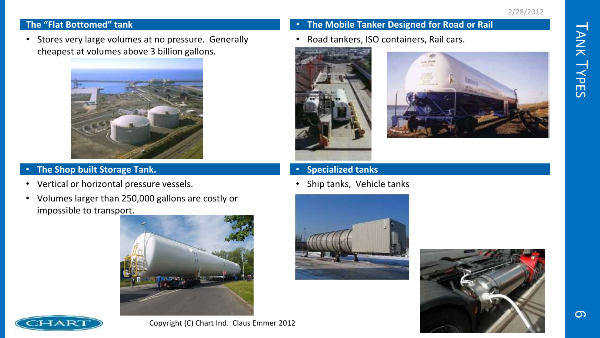#### **The "Flat Bottomed" tank**

• Stores very large volumes at no pressure. Generally cheapest at volumes above 3 billion gallons.



#### • **The Shop built Storage Tank.**

- Vertical or horizontal pressure vessels.
- Volumes larger than 250,000 gallons are costly or impossible to transport.



#### • **The Mobile Tanker Designed for Road or Rail**

• Road tankers, ISO containers, Rail cars.





- **Specialized tanks**
- Ship tanks, Vehicle tanks







Copyright (C) Chart Ind. Claus Emmer 2012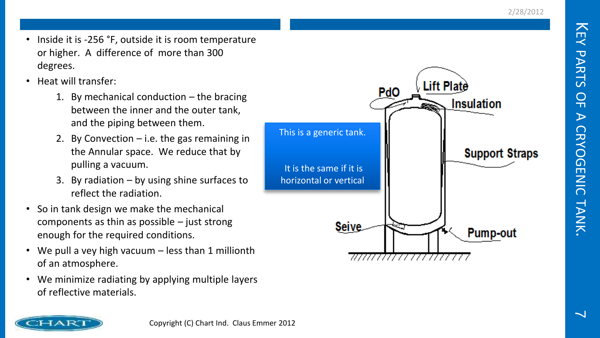- Inside it is -256 °F, outside it is room temperature or higher. A difference of more than 300 degrees.
- Heat will transfer:
	- 1. By mechanical conduction the bracing between the inner and the outer tank, and the piping between them.
	- 2. By Convection i.e. the gas remaining in the Annular space. We reduce that by pulling a vacuum.
	- 3. By radiation by using shine surfaces to reflect the radiation.
- So in tank design we make the mechanical components as thin as possible – just strong enough for the required conditions.
- We pull a vey high vacuum less than 1 millionth of an atmosphere.
- We minimize radiating by applying multiple layers of reflective materials.



71111111111111111111111

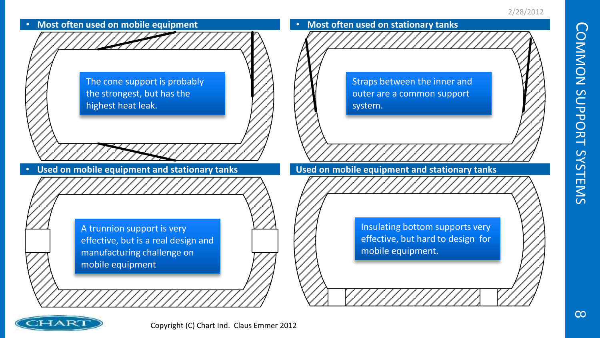

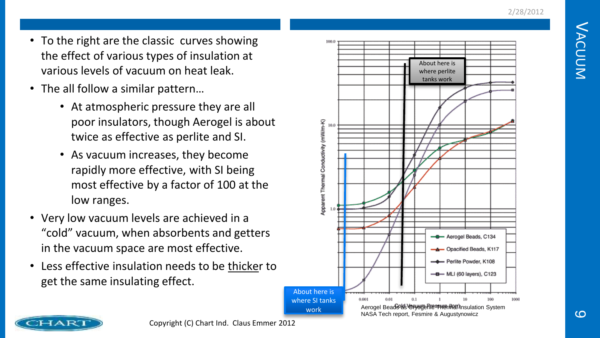- To the right are the classic curves showing the effect of various types of insulation at various levels of vacuum on heat leak.
- The all follow a similar pattern…
	- At atmospheric pressure they are all poor insulators, though Aerogel is about twice as effective as perlite and SI.
	- As vacuum increases, they become rapidly more effective, with SI being most effective by a factor of 100 at the low ranges.
- Very low vacuum levels are achieved in a "cold" vacuum, when absorbents and getters in the vacuum space are most effective.
- Less effective insulation needs to be thicker to get the same insulating effect.



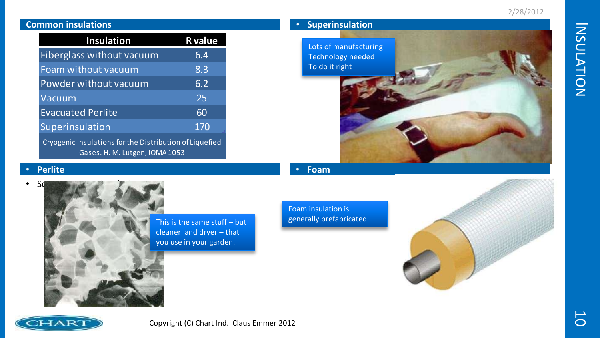| <b>Common insulations</b>                                                                 |                  | <b>Superinsulation</b> |
|-------------------------------------------------------------------------------------------|------------------|------------------------|
| <b>Insulation</b>                                                                         | <b>R</b> value   | Lots of manufacturing  |
| Fiberglass without vacuum                                                                 | 6.4              | Technology needed      |
| Foam without vacuum                                                                       | 8.3              | To do it right         |
| Powder without vacuum                                                                     | $6.\overline{2}$ |                        |
| Vacuum                                                                                    | 25               |                        |
| <b>Evacuated Perlite</b>                                                                  | 60               |                        |
| Superinsulation                                                                           | 170              |                        |
| Cryogenic Insulations for the Distribution of Liquefied<br>Gases. H. M. Lutgen, IOMA 1053 |                  |                        |

#### • **Perlite**



This is the same stuff – but cleaner and dryer – that you use in your garden.

Foam insulation is generally prefabricated

• **Foam**





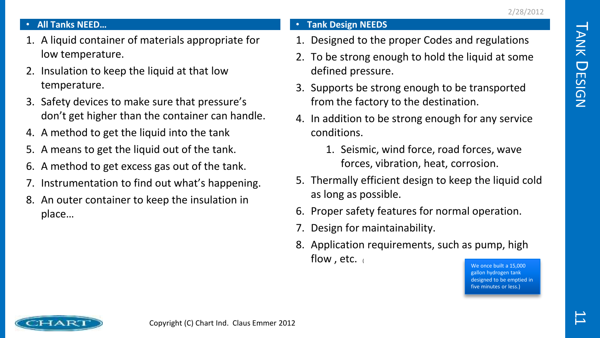#### • **All Tanks NEED…**

- 1. A liquid container of materials appropriate for low temperature.
- 2. Insulation to keep the liquid at that low temperature.
- 3. Safety devices to make sure that pressure's don't get higher than the container can handle.
- 4. A method to get the liquid into the tank
- 5. A means to get the liquid out of the tank.
- 6. A method to get excess gas out of the tank.
- Instrumentation to find out what's happening.
- 8. An outer container to keep the insulation in place…

#### • **Tank Design NEEDS**

- 1. Designed to the proper Codes and regulations
- 2. To be strong enough to hold the liquid at some defined pressure.
- 3. Supports be strong enough to be transported from the factory to the destination.
- 4. In addition to be strong enough for any service conditions.
	- 1. Seismic, wind force, road forces, wave forces, vibration, heat, corrosion.
- 5. Thermally efficient design to keep the liquid cold as long as possible.
- 6. Proper safety features for normal operation.
- 7. Design for maintainability.
- 8. Application requirements, such as pump, high flow, etc.  $($

We once built a 15,000 gallon hydrogen tank designed to be emptied in five minutes or less.)

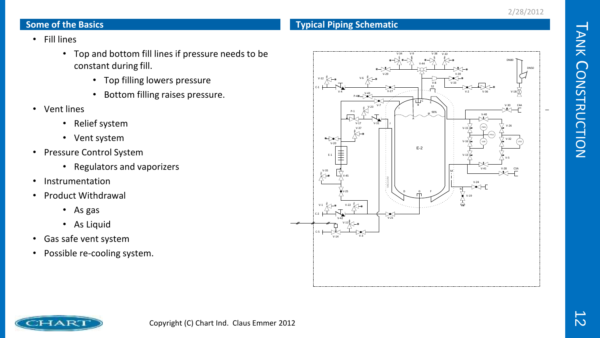#### **Some of the Basics**

#### **Typical Piping Schematic**

- Fill lines
	- Top and bottom fill lines if pressure needs to be constant during fill.
		- Top filling lowers pressure
		- Bottom filling raises pressure.
- Vent lines
	- Relief system
	- Vent system
- Pressure Control System
	- Regulators and vaporizers
- Instrumentation
- Product Withdrawal
	- As gas
	- As Liquid
- Gas safe vent system
- Possible re-cooling system.



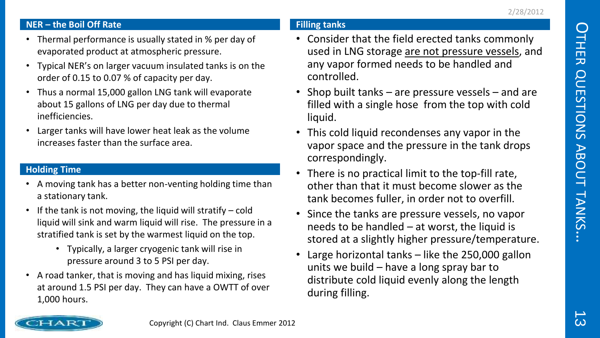#### **NER – the Boil Off Rate**

- Thermal performance is usually stated in % per day of evaporated product at atmospheric pressure.
- Typical NER's on larger vacuum insulated tanks is on the order of 0.15 to 0.07 % of capacity per day.
- Thus a normal 15,000 gallon LNG tank will evaporate about 15 gallons of LNG per day due to thermal inefficiencies.
- Larger tanks will have lower heat leak as the volume increases faster than the surface area.

#### **Holding Time**

- A moving tank has a better non-venting holding time than a stationary tank.
- If the tank is not moving, the liquid will stratify cold liquid will sink and warm liquid will rise. The pressure in a stratified tank is set by the warmest liquid on the top.
	- Typically, a larger cryogenic tank will rise in pressure around 3 to 5 PSI per day.
- A road tanker, that is moving and has liquid mixing, rises at around 1.5 PSI per day. They can have a OWTT of over 1,000 hours.

#### **Filling tanks**

- Consider that the field erected tanks commonly used in LNG storage are not pressure vessels, and any vapor formed needs to be handled and controlled.
- Shop built tanks are pressure vessels and are filled with a single hose from the top with cold liquid.
- This cold liquid recondenses any vapor in the vapor space and the pressure in the tank drops correspondingly.
- There is no practical limit to the top-fill rate, other than that it must become slower as the tank becomes fuller, in order not to overfill.
- Since the tanks are pressure vessels, no vapor needs to be handled  $-$  at worst, the liquid is stored at a slightly higher pressure/temperature.
- Large horizontal tanks  $-$  like the 250,000 gallon units we build – have a long spray bar to distribute cold liquid evenly along the length during filling.

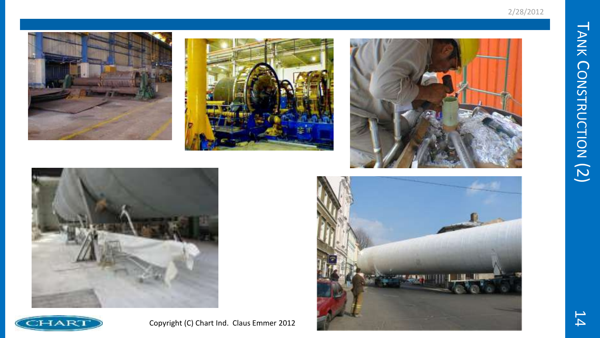









Copyright (C) Chart Ind. Claus Emmer 2012

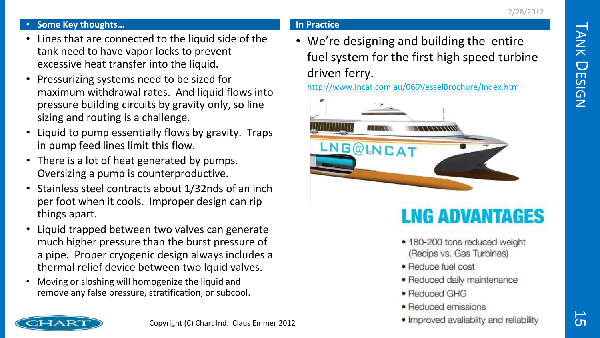$\overline{\phantom{0}}$ 

ANK

 $\bigcup$ 

ESIGN

#### • **Some Key thoughts…**

- Lines that are connected to the liquid side of the tank need to have vapor locks to prevent excessive heat transfer into the liquid.
- Pressurizing systems need to be sized for maximum withdrawal rates. And liquid flows into pressure building circuits by gravity only, so line sizing and routing is a challenge.
- Liquid to pump essentially flows by gravity. Traps in pump feed lines limit this flow.
- There is a lot of heat generated by pumps. Oversizing a pump is counterproductive.
- Stainless steel contracts about 1/32nds of an inch per foot when it cools. Improper design can rip things apart.
- Liquid trapped between two valves can generate much higher pressure than the burst pressure of a pipe. Proper cryogenic design always includes a thermal relief device between two lquid valves.
- Moving or sloshing will homogenize the liquid and remove any false pressure, stratification, or subcool.

#### **In Practice**

• We're designing and building the entire fuel system for the first high speed turbine driven ferry.

<http://www.incat.com.au/069VesselBrochure/index.html>



## **LNG ADVANTAGES**

- · 180-200 tons reduced weight (Recips vs. Gas Turbines)
- · Reduce fuel cost
- · Reduced daily maintenance
- Reduced GHG
- Reduced emissions
- . Improved avaliablity and reliability

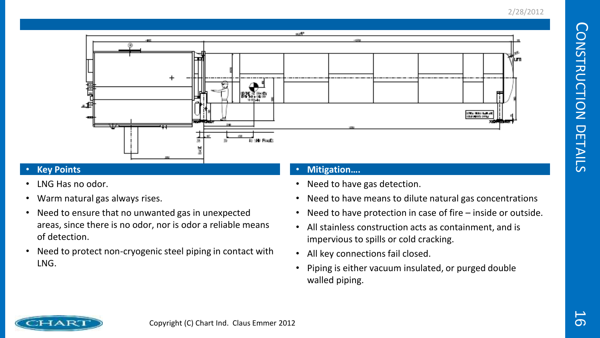

#### • **Key Points**

- LNG Has no odor.
- Warm natural gas always rises.
- Need to ensure that no unwanted gas in unexpected areas, since there is no odor, nor is odor a reliable means of detection.
- Need to protect non-cryogenic steel piping in contact with LNG.

#### • **Mitigation….**

- Need to have gas detection.
- Need to have means to dilute natural gas concentrations
- Need to have protection in case of fire inside or outside.
- All stainless construction acts as containment, and is impervious to spills or cold cracking.
- All key connections fail closed.
- Piping is either vacuum insulated, or purged double walled piping.

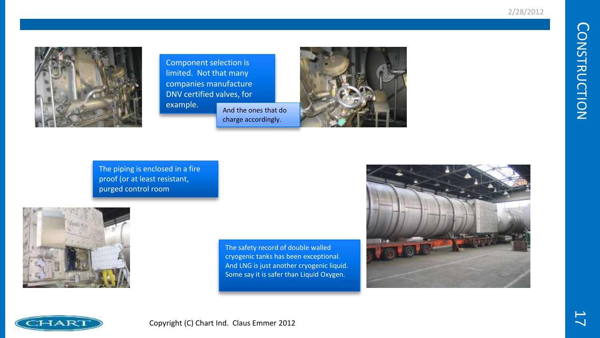

Component selection is limited. Not that many companies manufacture DNV certified valves, for example.



The piping is enclosed in a fire proof (or at least resistant, purged control room



The safety record of double walled cryogenic tanks has been exceptional. And LNG is just another cryogenic liquid. Some say it is safer than Liquid Oxygen.



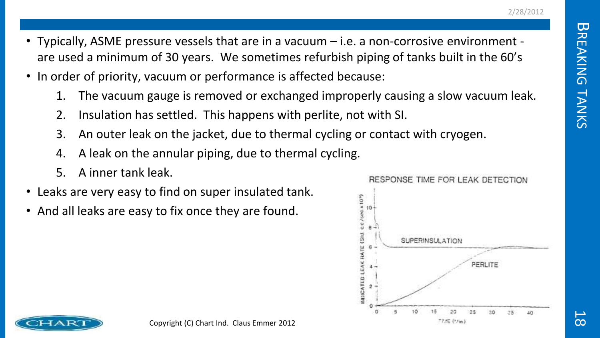- Typically, ASME pressure vessels that are in a vacuum i.e. a non-corrosive environment are used a minimum of 30 years. We sometimes refurbish piping of tanks built in the 60's
- In order of priority, vacuum or performance is affected because:
	- 1. The vacuum gauge is removed or exchanged improperly causing a slow vacuum leak.
	- 2. Insulation has settled. This happens with perlite, not with SI.
	- 3. An outer leak on the jacket, due to thermal cycling or contact with cryogen.
	- 4. A leak on the annular piping, due to thermal cycling.
	- 5. A inner tank leak.
- Leaks are very easy to find on super insulated tank.
- And all leaks are easy to fix once they are found.



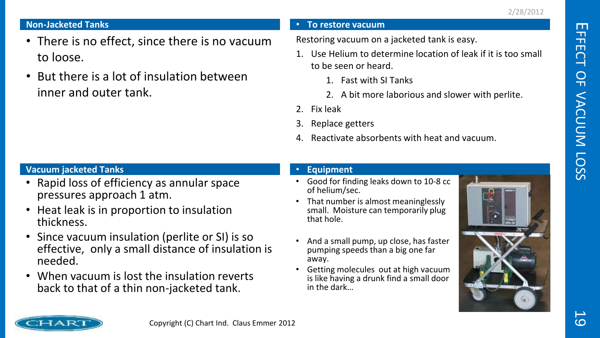#### **Non-Jacketed Tanks**

- There is no effect, since there is no vacuum to loose.
- But there is a lot of insulation between inner and outer tank.

#### • **To restore vacuum**

Restoring vacuum on a jacketed tank is easy.

- 1. Use Helium to determine location of leak if it is too small to be seen or heard.
	- 1. Fast with SI Tanks
	- 2. A bit more laborious and slower with perlite.
- 2. Fix leak
- 3. Replace getters
- 4. Reactivate absorbents with heat and vacuum.

#### **Vacuum jacketed Tanks**

- Rapid loss of efficiency as annular space pressures approach 1 atm.
- Heat leak is in proportion to insulation thickness.
- Since vacuum insulation (perlite or SI) is so effective, only a small distance of insulation is needed.
- When vacuum is lost the insulation reverts back to that of a thin non-jacketed tank.

#### • **Equipment**

- Good for finding leaks down to 10-8 cc of helium/sec.
- That number is almost meaninglessly small. Moisture can temporarily plug that hole.
- And a small pump, up close, has faster pumping speeds than a big one far away.
- Getting molecules out at high vacuum is like having a drunk find a small door in the dark…